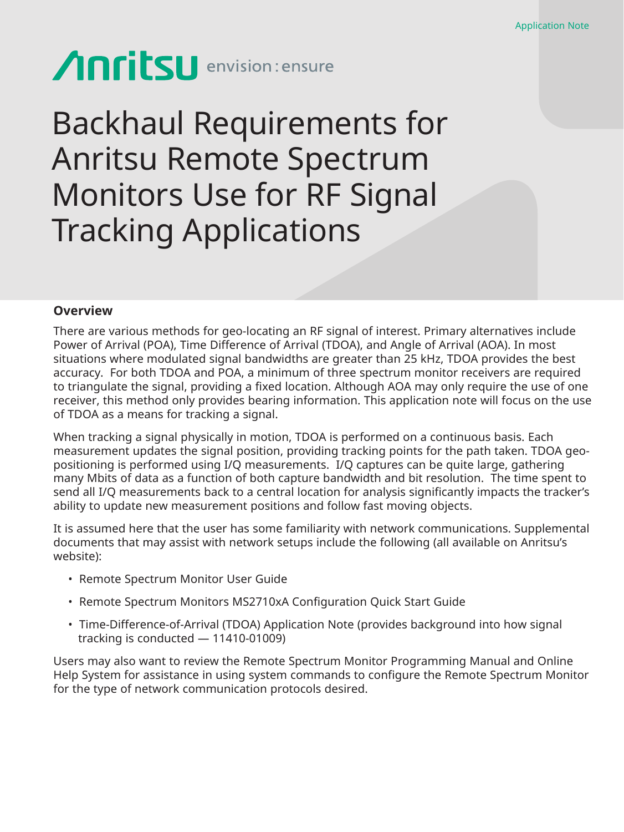# **Anritsu** envision: ensure

## Backhaul Requirements for Anritsu Remote Spectrum Monitors Use for RF Signal Tracking Applications

## **Overview**

There are various methods for geo-locating an RF signal of interest. Primary alternatives include Power of Arrival (POA), Time Difference of Arrival (TDOA), and Angle of Arrival (AOA). In most situations where modulated signal bandwidths are greater than 25 kHz, TDOA provides the best accuracy. For both TDOA and POA, a minimum of three spectrum monitor receivers are required to triangulate the signal, providing a fixed location. Although AOA may only require the use of one receiver, this method only provides bearing information. This application note will focus on the use of TDOA as a means for tracking a signal.

When tracking a signal physically in motion, TDOA is performed on a continuous basis. Each measurement updates the signal position, providing tracking points for the path taken. TDOA geopositioning is performed using I/Q measurements. I/Q captures can be quite large, gathering many Mbits of data as a function of both capture bandwidth and bit resolution. The time spent to send all I/Q measurements back to a central location for analysis significantly impacts the tracker's ability to update new measurement positions and follow fast moving objects.

It is assumed here that the user has some familiarity with network communications. Supplemental documents that may assist with network setups include the following (all available on Anritsu's website):

- Remote Spectrum Monitor User Guide
- Remote Spectrum Monitors MS2710xA Configuration Quick Start Guide
- Time-Difference-of-Arrival (TDOA) Application Note (provides background into how signal tracking is conducted — 11410-01009)

Users may also want to review the Remote Spectrum Monitor Programming Manual and Online Help System for assistance in using system commands to configure the Remote Spectrum Monitor for the type of network communication protocols desired.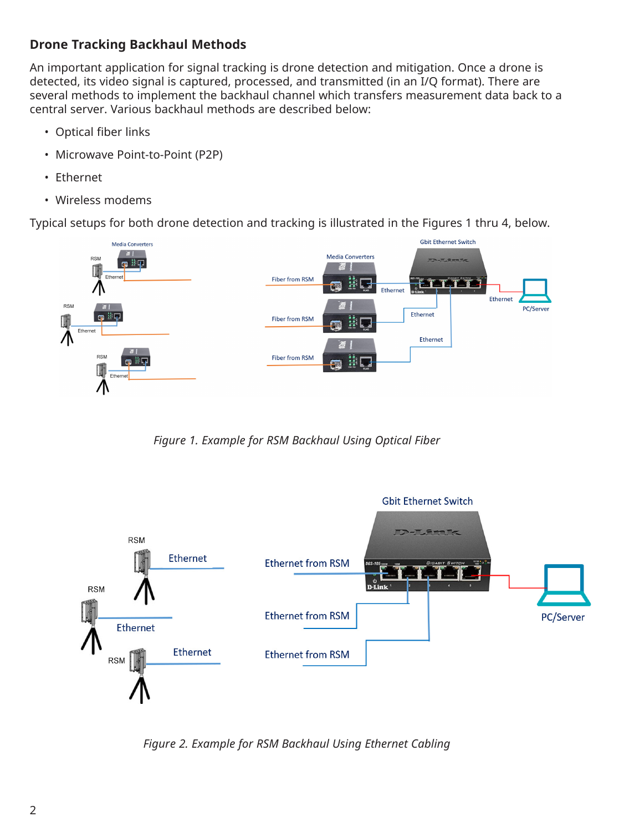## **Drone Tracking Backhaul Methods**

An important application for signal tracking is drone detection and mitigation. Once a drone is detected, its video signal is captured, processed, and transmitted (in an I/Q format). There are several methods to implement the backhaul channel which transfers measurement data back to a central server. Various backhaul methods are described below:

- Optical fiber links
- Microwave Point-to-Point (P2P)
- Ethernet
- Wireless modems

Typical setups for both drone detection and tracking is illustrated in the Figures 1 thru 4, below.



*Figure 1. Example for RSM Backhaul Using Optical Fiber*



*Figure 2. Example for RSM Backhaul Using Ethernet Cabling*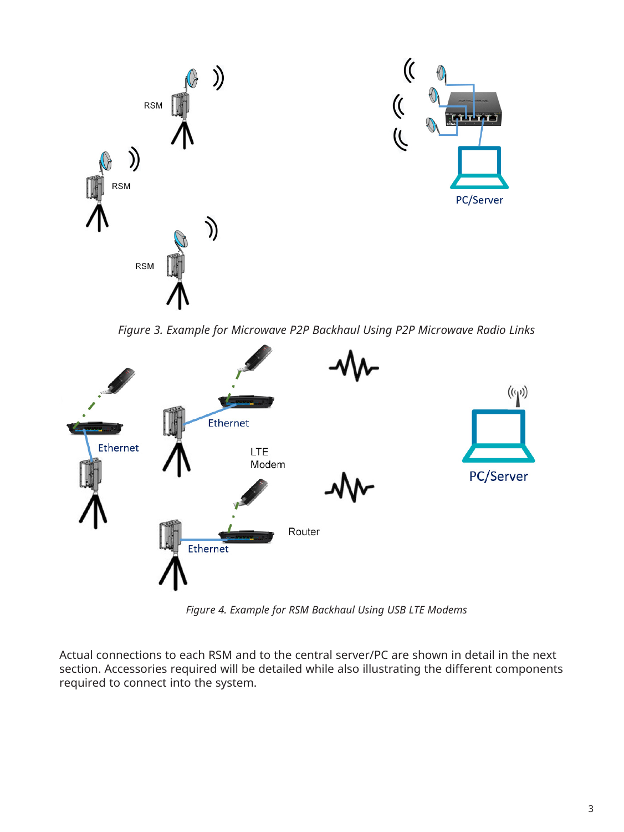

*Figure 3. Example for Microwave P2P Backhaul Using P2P Microwave Radio Links*



*Figure 4. Example for RSM Backhaul Using USB LTE Modems* 

Actual connections to each RSM and to the central server/PC are shown in detail in the next section. Accessories required will be detailed while also illustrating the different components required to connect into the system.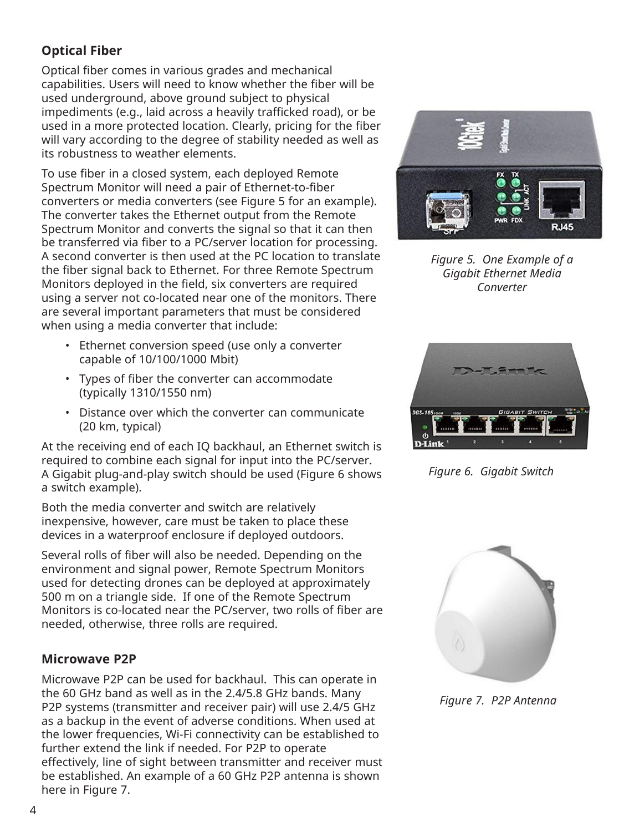## **Optical Fiber**

Optical fiber comes in various grades and mechanical capabilities. Users will need to know whether the fiber will be used underground, above ground subject to physical impediments (e.g., laid across a heavily trafficked road), or be used in a more protected location. Clearly, pricing for the fiber will vary according to the degree of stability needed as well as its robustness to weather elements.

To use fiber in a closed system, each deployed Remote Spectrum Monitor will need a pair of Ethernet-to-fiber converters or media converters (see Figure 5 for an example). The converter takes the Ethernet output from the Remote Spectrum Monitor and converts the signal so that it can then be transferred via fiber to a PC/server location for processing. A second converter is then used at the PC location to translate the fiber signal back to Ethernet. For three Remote Spectrum Monitors deployed in the field, six converters are required using a server not co-located near one of the monitors. There are several important parameters that must be considered when using a media converter that include:

- Ethernet conversion speed (use only a converter capable of 10/100/1000 Mbit)
- Types of fiber the converter can accommodate (typically 1310/1550 nm)
- Distance over which the converter can communicate (20 km, typical)

At the receiving end of each IQ backhaul, an Ethernet switch is required to combine each signal for input into the PC/server. A Gigabit plug-and-play switch should be used (Figure 6 shows a switch example).

Both the media converter and switch are relatively inexpensive, however, care must be taken to place these devices in a waterproof enclosure if deployed outdoors.

Several rolls of fiber will also be needed. Depending on the environment and signal power, Remote Spectrum Monitors used for detecting drones can be deployed at approximately 500 m on a triangle side. If one of the Remote Spectrum Monitors is co-located near the PC/server, two rolls of fiber are needed, otherwise, three rolls are required.

## **Microwave P2P**

Microwave P2P can be used for backhaul. This can operate in the 60 GHz band as well as in the 2.4/5.8 GHz bands. Many P2P systems (transmitter and receiver pair) will use 2.4/5 GHz as a backup in the event of adverse conditions. When used at the lower frequencies, Wi-Fi connectivity can be established to further extend the link if needed. For P2P to operate effectively, line of sight between transmitter and receiver must be established. An example of a 60 GHz P2P antenna is shown here in Figure 7.



*Figure 5. One Example of a Gigabit Ethernet Media Converter*



*Figure 6. Gigabit Switch*



*Figure 7. P2P Antenna*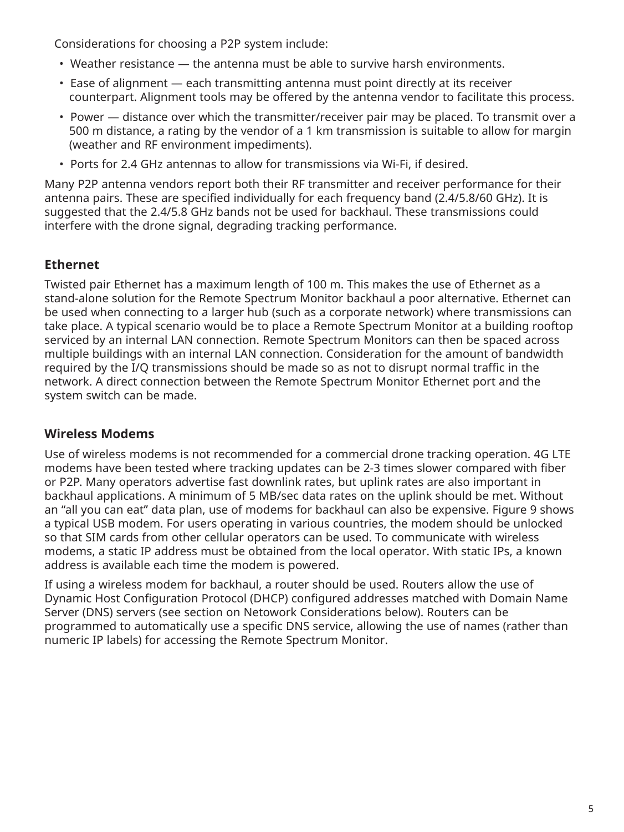Considerations for choosing a P2P system include:

- Weather resistance the antenna must be able to survive harsh environments.
- Ease of alignment each transmitting antenna must point directly at its receiver counterpart. Alignment tools may be offered by the antenna vendor to facilitate this process.
- Power distance over which the transmitter/receiver pair may be placed. To transmit over a 500 m distance, a rating by the vendor of a 1 km transmission is suitable to allow for margin (weather and RF environment impediments).
- Ports for 2.4 GHz antennas to allow for transmissions via Wi-Fi, if desired.

Many P2P antenna vendors report both their RF transmitter and receiver performance for their antenna pairs. These are specified individually for each frequency band (2.4/5.8/60 GHz). It is suggested that the 2.4/5.8 GHz bands not be used for backhaul. These transmissions could interfere with the drone signal, degrading tracking performance.

## **Ethernet**

Twisted pair Ethernet has a maximum length of 100 m. This makes the use of Ethernet as a stand-alone solution for the Remote Spectrum Monitor backhaul a poor alternative. Ethernet can be used when connecting to a larger hub (such as a corporate network) where transmissions can take place. A typical scenario would be to place a Remote Spectrum Monitor at a building rooftop serviced by an internal LAN connection. Remote Spectrum Monitors can then be spaced across multiple buildings with an internal LAN connection. Consideration for the amount of bandwidth required by the I/Q transmissions should be made so as not to disrupt normal traffic in the network. A direct connection between the Remote Spectrum Monitor Ethernet port and the system switch can be made.

## **Wireless Modems**

Use of wireless modems is not recommended for a commercial drone tracking operation. 4G LTE modems have been tested where tracking updates can be 2-3 times slower compared with fiber or P2P. Many operators advertise fast downlink rates, but uplink rates are also important in backhaul applications. A minimum of 5 MB/sec data rates on the uplink should be met. Without an "all you can eat" data plan, use of modems for backhaul can also be expensive. Figure 9 shows a typical USB modem. For users operating in various countries, the modem should be unlocked so that SIM cards from other cellular operators can be used. To communicate with wireless modems, a static IP address must be obtained from the local operator. With static IPs, a known address is available each time the modem is powered.

If using a wireless modem for backhaul, a router should be used. Routers allow the use of Dynamic Host Configuration Protocol (DHCP) configured addresses matched with Domain Name Server (DNS) servers (see section on Netowork Considerations below). Routers can be programmed to automatically use a specific DNS service, allowing the use of names (rather than numeric IP labels) for accessing the Remote Spectrum Monitor.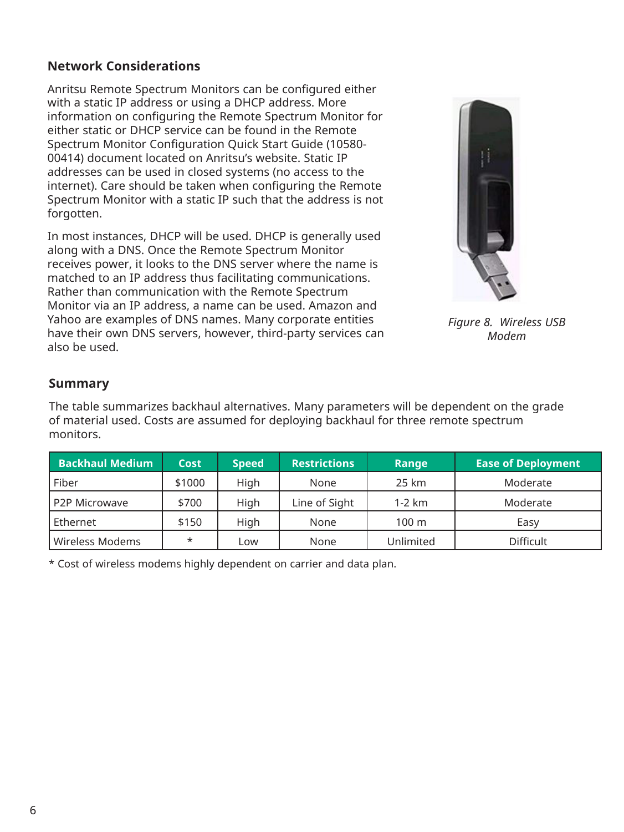## **Network Considerations**

Anritsu Remote Spectrum Monitors can be configured either with a static IP address or using a DHCP address. More information on configuring the Remote Spectrum Monitor for either static or DHCP service can be found in the Remote Spectrum Monitor Configuration Quick Start Guide (10580- 00414) document located on Anritsu's website. Static IP addresses can be used in closed systems (no access to the internet). Care should be taken when configuring the Remote Spectrum Monitor with a static IP such that the address is not forgotten.

In most instances, DHCP will be used. DHCP is generally used along with a DNS. Once the Remote Spectrum Monitor receives power, it looks to the DNS server where the name is matched to an IP address thus facilitating communications. Rather than communication with the Remote Spectrum Monitor via an IP address, a name can be used. Amazon and Yahoo are examples of DNS names. Many corporate entities have their own DNS servers, however, third-party services can also be used.



*Figure 8. Wireless USB Modem*

## **Summary**

The table summarizes backhaul alternatives. Many parameters will be dependent on the grade of material used. Costs are assumed for deploying backhaul for three remote spectrum monitors.

| <b>Backhaul Medium</b> | <b>Cost</b> | <b>Speed</b> | <b>Restrictions</b> | Range     | <b>Ease of Deployment</b> |
|------------------------|-------------|--------------|---------------------|-----------|---------------------------|
| Fiber                  | \$1000      | High         | None                | 25 km     | Moderate                  |
| P2P Microwave          | \$700       | High         | Line of Sight       | $1-2$ km  | Moderate                  |
| Ethernet               | \$150       | High         | None                | 100 m     | Easy                      |
| Wireless Modems        | $\star$     | Low          | None                | Unlimited | <b>Difficult</b>          |

\* Cost of wireless modems highly dependent on carrier and data plan.